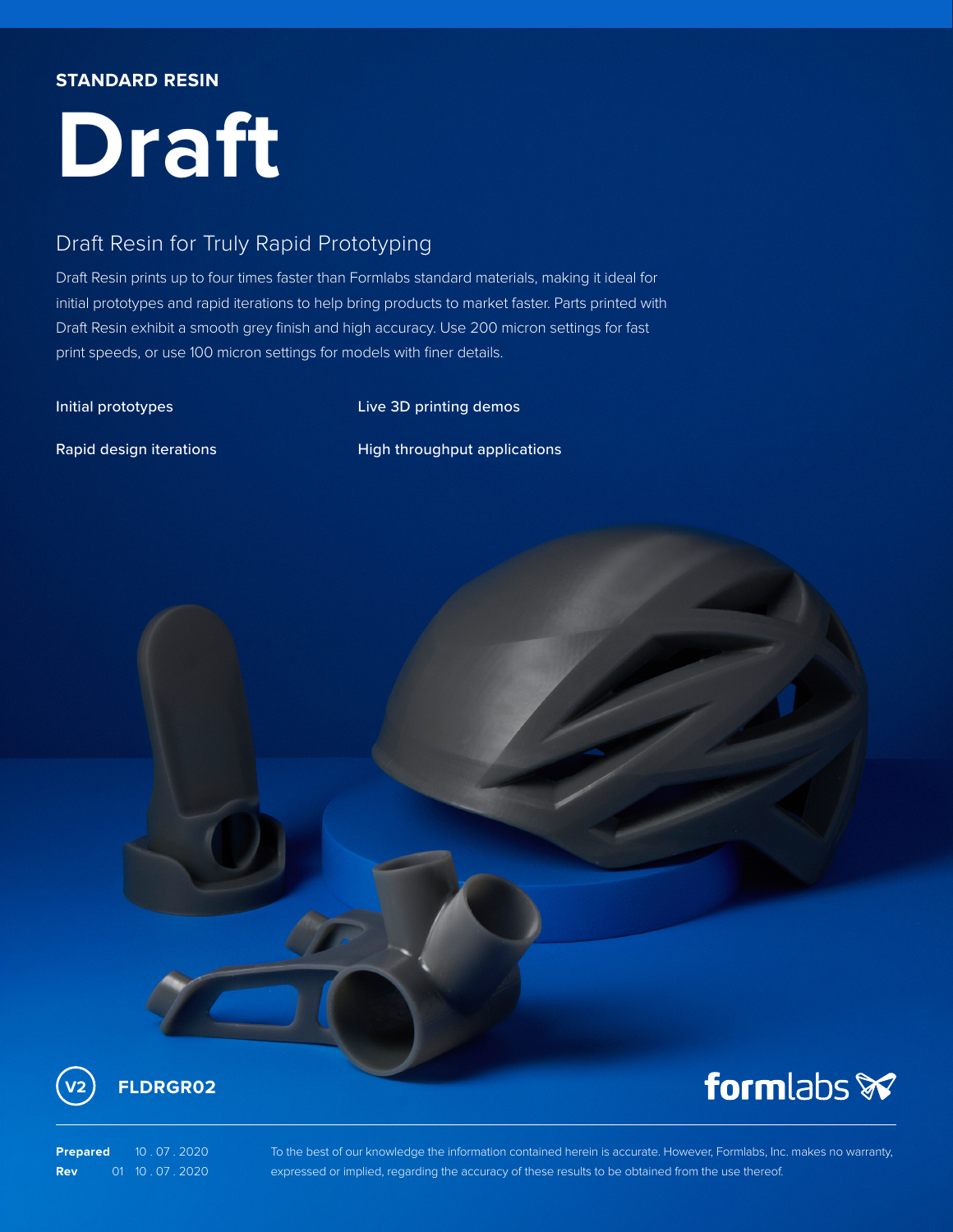## **STANDARD RESIN**

# **Draft**

# Draft Resin for Truly Rapid Prototyping

Draft Resin prints up to four times faster than Formlabs standard materials, making it ideal for initial prototypes and rapid iterations to help bring products to market faster. Parts printed with Draft Resin exhibit a smooth grey finish and high accuracy. Use 200 micron settings for fast print speeds, or use 100 micron settings for models with finer details.

Initial prototypes **Access 20 Initial** prototypes **Live 3D printing demos** 

Rapid design iterations **Rapid design iterations** High throughput applications





# formlabs **x**

**Prepared** 10 . 07 . 2020 **Rev** 01 10 . 07 . 2020 To the best of our knowledge the information contained herein is accurate. However, Formlabs, Inc. makes no warranty, expressed or implied, regarding the accuracy of these results to be obtained from the use thereof.